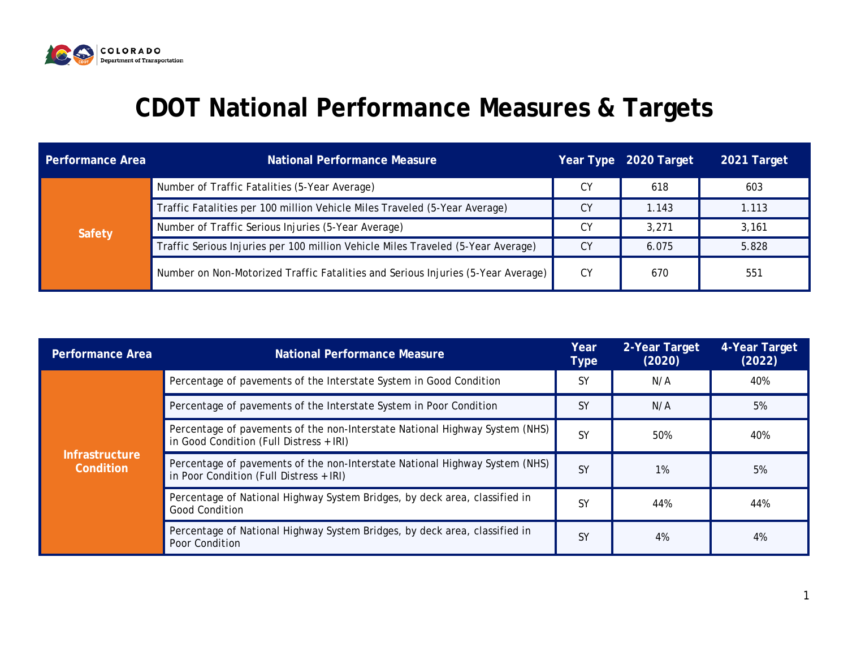

## **CDOT National Performance Measures & Targets**

| <b>Performance Area</b> | <b>National Performance Measure</b>                                              |    | Year Type 2020 Target | 2021 Target |
|-------------------------|----------------------------------------------------------------------------------|----|-----------------------|-------------|
| Safety                  | Number of Traffic Fatalities (5-Year Average)                                    | СY | 618                   | 603         |
|                         | Traffic Fatalities per 100 million Vehicle Miles Traveled (5-Year Average)       | СY | 1.143                 | 1.113       |
|                         | Number of Traffic Serious Injuries (5-Year Average)                              | СY | 3.271                 | 3,161       |
|                         | Traffic Serious Injuries per 100 million Vehicle Miles Traveled (5-Year Average) | СY | 6.075                 | 5.828       |
|                         | Number on Non-Motorized Traffic Fatalities and Serious Injuries (5-Year Average) | CY | 670                   | 551         |

| <b>Performance Area</b>            | <b>National Performance Measure</b>                                                                                    | Year<br><b>Type</b> | 2-Year Target<br>(2020) | 4-Year Target<br>(2022) |
|------------------------------------|------------------------------------------------------------------------------------------------------------------------|---------------------|-------------------------|-------------------------|
| <b>Infrastructure</b><br>Condition | Percentage of pavements of the Interstate System in Good Condition                                                     | <b>SY</b>           | N/A                     | 40%                     |
|                                    | Percentage of pavements of the Interstate System in Poor Condition                                                     | <b>SY</b>           | N/A                     | 5%                      |
|                                    | Percentage of pavements of the non-Interstate National Highway System (NHS)<br>in Good Condition (Full Distress + IRI) | <b>SY</b>           | 50%                     | 40%                     |
|                                    | Percentage of pavements of the non-Interstate National Highway System (NHS)<br>in Poor Condition (Full Distress + IRI) | <b>SY</b>           | 1%                      | 5%                      |
|                                    | Percentage of National Highway System Bridges, by deck area, classified in<br><b>Good Condition</b>                    | <b>SY</b>           | 44%                     | 44%                     |
|                                    | Percentage of National Highway System Bridges, by deck area, classified in<br>Poor Condition                           | <b>SY</b>           | 4%                      | 4%                      |